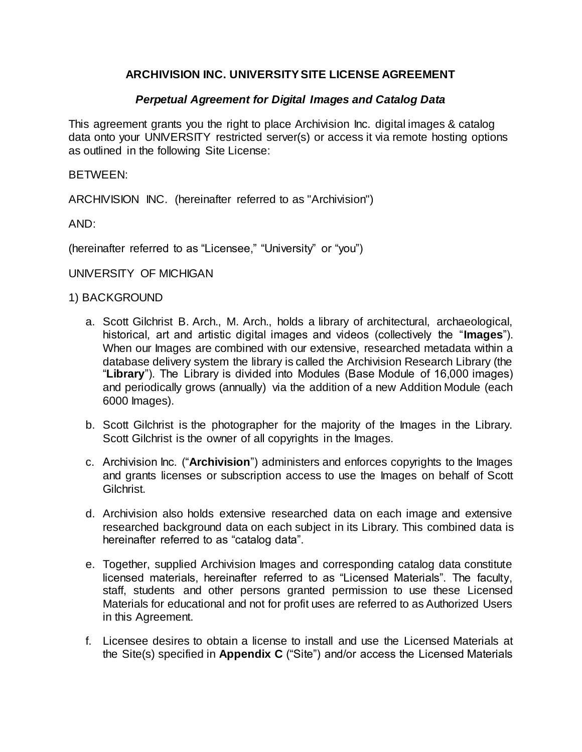# **ARCHIVISION INC. UNIVERSITY SITE LICENSE AGREEMENT**

## *Perpetual Agreement for Digital Images and Catalog Data*

This agreement grants you the right to place Archivision Inc. digital images & catalog data onto your UNIVERSITY restricted server(s) or access it via remote hosting options as outlined in the following Site License:

BETWEEN:

ARCHIVISION INC. (hereinafter referred to as "Archivision")

AND:

(hereinafter referred to as "Licensee," "University" or "you")

UNIVERSITY OF MICHIGAN

#### 1) BACKGROUND

- a. Scott Gilchrist B. Arch., M. Arch., holds a library of architectural, archaeological, historical, art and artistic digital images and videos (collectively the "**Images**"). When our Images are combined with our extensive, researched metadata within a database delivery system the library is called the Archivision Research Library (the "**Library**"). The Library is divided into Modules (Base Module of 16,000 images) and periodically grows (annually) via the addition of a new Addition Module (each 6000 Images).
- b. Scott Gilchrist is the photographer for the majority of the Images in the Library. Scott Gilchrist is the owner of all copyrights in the Images.
- c. Archivision Inc. ("**Archivision**") administers and enforces copyrights to the Images and grants licenses or subscription access to use the Images on behalf of Scott Gilchrist.
- d. Archivision also holds extensive researched data on each image and extensive researched background data on each subject in its Library. This combined data is hereinafter referred to as "catalog data".
- e. Together, supplied Archivision Images and corresponding catalog data constitute licensed materials, hereinafter referred to as "Licensed Materials". The faculty, staff, students and other persons granted permission to use these Licensed Materials for educational and not for profit uses are referred to as Authorized Users in this Agreement.
- f. Licensee desires to obtain a license to install and use the Licensed Materials at the Site(s) specified in **Appendix C** ("Site") and/or access the Licensed Materials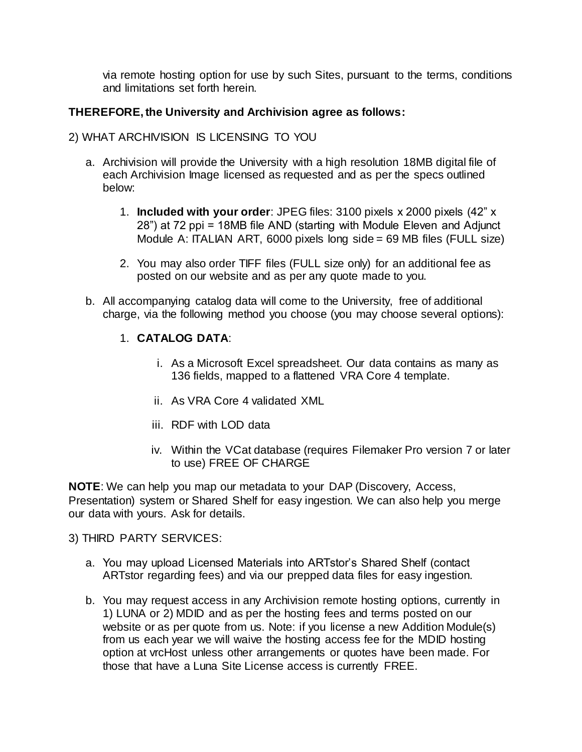via remote hosting option for use by such Sites, pursuant to the terms, conditions and limitations set forth herein.

## **THEREFORE, the University and Archivision agree as follows:**

### 2) WHAT ARCHIVISION IS LICENSING TO YOU

- a. Archivision will provide the University with a high resolution 18MB digital file of each Archivision Image licensed as requested and as per the specs outlined below:
	- 1. **Included with your order**: JPEG files: 3100 pixels x 2000 pixels (42" x 28") at 72 ppi = 18MB file AND (starting with Module Eleven and Adjunct Module A: ITALIAN ART, 6000 pixels long side = 69 MB files (FULL size)
	- 2. You may also order TIFF files (FULL size only) for an additional fee as posted on our website and as per any quote made to you.
- b. All accompanying catalog data will come to the University, free of additional charge, via the following method you choose (you may choose several options):

### 1. **CATALOG DATA**:

- i. As a Microsoft Excel spreadsheet. Our data contains as many as 136 fields, mapped to a flattened VRA Core 4 template.
- ii. As VRA Core 4 validated XML
- iii. RDF with LOD data
- iv. Within the VCat database (requires Filemaker Pro version 7 or later to use) FREE OF CHARGE

**NOTE**: We can help you map our metadata to your DAP (Discovery, Access, Presentation) system or Shared Shelf for easy ingestion. We can also help you merge our data with yours. Ask for details.

3) THIRD PARTY SERVICES:

- a. You may upload Licensed Materials into ARTstor's Shared Shelf (contact ARTstor regarding fees) and via our prepped data files for easy ingestion.
- b. You may request access in any Archivision remote hosting options, currently in 1) LUNA or 2) MDID and as per the hosting fees and terms posted on our website or as per quote from us. Note: if you license a new Addition Module(s) from us each year we will waive the hosting access fee for the MDID hosting option at vrcHost unless other arrangements or quotes have been made. For those that have a Luna Site License access is currently FREE.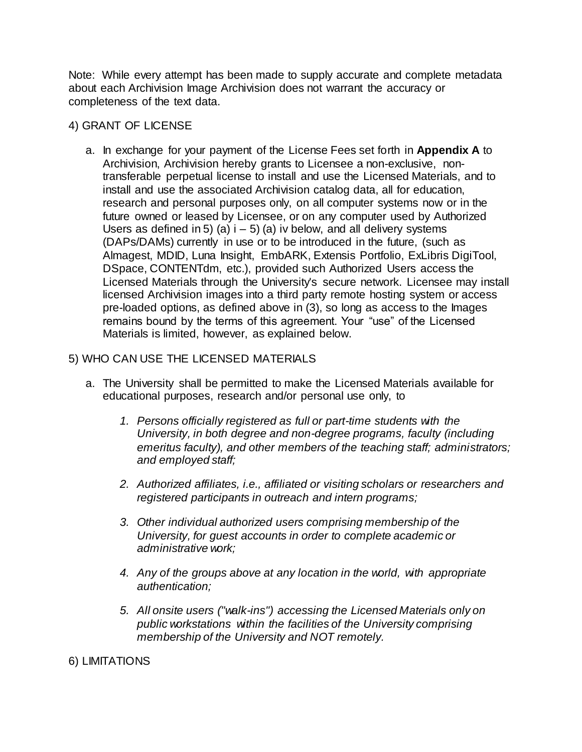Note: While every attempt has been made to supply accurate and complete metadata about each Archivision Image Archivision does not warrant the accuracy or completeness of the text data.

## 4) GRANT OF LICENSE

a. In exchange for your payment of the License Fees set forth in **Appendix A** to Archivision, Archivision hereby grants to Licensee a non-exclusive, nontransferable perpetual license to install and use the Licensed Materials, and to install and use the associated Archivision catalog data, all for education, research and personal purposes only, on all computer systems now or in the future owned or leased by Licensee, or on any computer used by Authorized Users as defined in 5) (a)  $i - 5$ ) (a) iv below, and all delivery systems (DAPs/DAMs) currently in use or to be introduced in the future, (such as Almagest, MDID, Luna Insight, EmbARK, Extensis Portfolio, ExLibris DigiTool, DSpace, CONTENTdm, etc.), provided such Authorized Users access the Licensed Materials through the University's secure network. Licensee may install licensed Archivision images into a third party remote hosting system or access pre-loaded options, as defined above in (3), so long as access to the Images remains bound by the terms of this agreement. Your "use" of the Licensed Materials is limited, however, as explained below.

## 5) WHO CAN USE THE LICENSED MATERIALS

- a. The University shall be permitted to make the Licensed Materials available for educational purposes, research and/or personal use only, to
	- *1. Persons officially registered as full or part-time students with the University, in both degree and non-degree programs, faculty (including emeritus faculty), and other members of the teaching staff; administrators; and employed staff;*
	- *2. Authorized affiliates, i.e., affiliated or visiting scholars or researchers and registered participants in outreach and intern programs;*
	- *3. Other individual authorized users comprising membership of the University, for guest accounts in order to complete academic or administrative work;*
	- *4. Any of the groups above at any location in the world, with appropriate authentication;*
	- *5. All onsite users ("walk-ins") accessing the Licensed Materials only on public workstations within the facilities of the University comprising membership of the University and NOT remotely.*

### 6) LIMITATIONS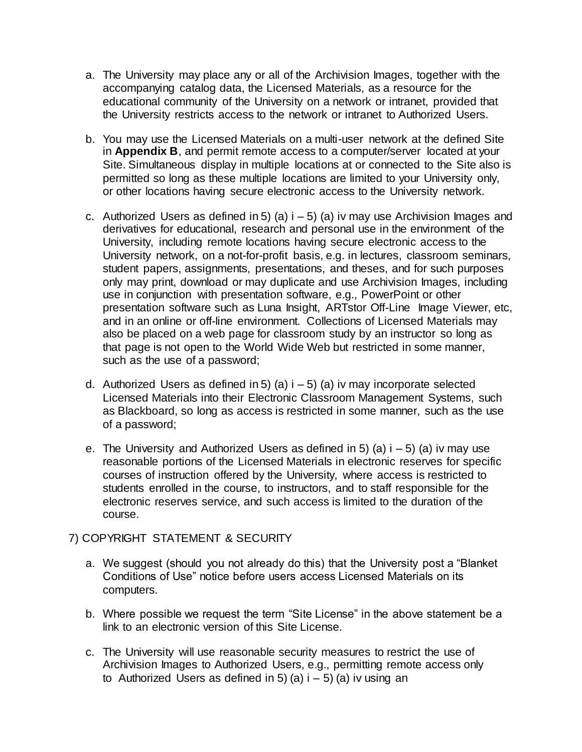- a. The University may place any or all of the Archivision Images, together with the accompanying catalog data, the Licensed Materials, as a resource for the educational community of the University on a network or intranet, provided that the University restricts access to the network or intranet to Authorized Users.
- b. You may use the Licensed Materials on a multi-user network at the defined Site in **Appendix B**, and permit remote access to a computer/server located at your Site. Simultaneous display in multiple locations at or connected to the Site also is permitted so long as these multiple locations are limited to your University only, or other locations having secure electronic access to the University network.
- c. Authorized Users as defined in 5) (a)  $i 5$ ) (a) iv may use Archivision Images and derivatives for educational, research and personal use in the environment of the University, including remote locations having secure electronic access to the University network, on a not-for-profit basis, e.g. in lectures, classroom seminars, student papers, assignments, presentations, and theses, and for such purposes only may print, download or may duplicate and use Archivision Images, including use in conjunction with presentation software, e.g., PowerPoint or other presentation software such as Luna Insight, ARTstor Off-Line Image Viewer, etc, and in an online or off-line environment. Collections of Licensed Materials may also be placed on a web page for classroom study by an instructor so long as that page is not open to the World Wide Web but restricted in some manner, such as the use of a password;
- d. Authorized Users as defined in 5) (a)  $i 5$ ) (a) iv may incorporate selected Licensed Materials into their Electronic Classroom Management Systems, such as Blackboard, so long as access is restricted in some manner, such as the use of a password;
- e. The University and Authorized Users as defined in 5) (a)  $i 5$ ) (a) iv may use reasonable portions of the Licensed Materials in electronic reserves for specific courses of instruction offered by the University, where access is restricted to students enrolled in the course, to instructors, and to staff responsible for the electronic reserves service, and such access is limited to the duration of the course.

### 7) COPYRIGHT STATEMENT & SECURITY

- a. We suggest (should you not already do this) that the University post a "Blanket Conditions of Use" notice before users access Licensed Materials on its computers.
- b. Where possible we request the term "Site License" in the above statement be a link to an electronic version of this Site License.
- c. The University will use reasonable security measures to restrict the use of Archivision Images to Authorized Users, e.g., permitting remote access only to Authorized Users as defined in 5) (a)  $i - 5$ ) (a) iv using an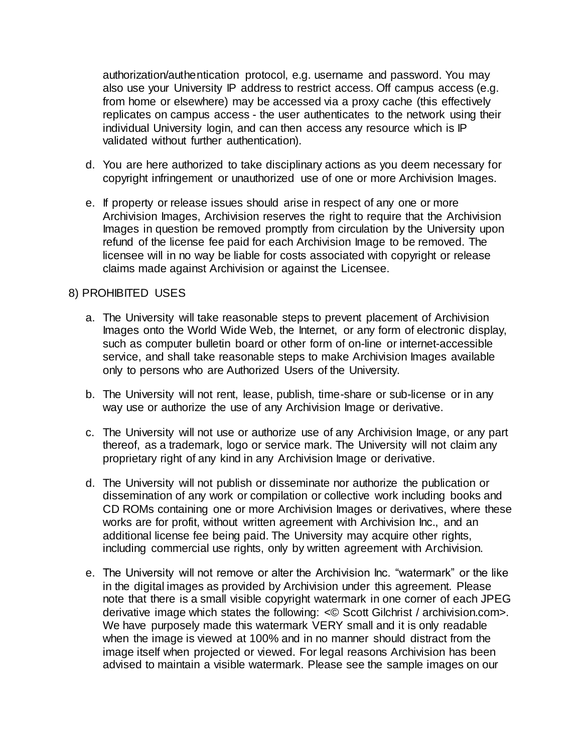authorization/authentication protocol, e.g. username and password. You may also use your University IP address to restrict access. Off campus access (e.g. from home or elsewhere) may be accessed via a proxy cache (this effectively replicates on campus access - the user authenticates to the network using their individual University login, and can then access any resource which is IP validated without further authentication).

- d. You are here authorized to take disciplinary actions as you deem necessary for copyright infringement or unauthorized use of one or more Archivision Images.
- e. If property or release issues should arise in respect of any one or more Archivision Images, Archivision reserves the right to require that the Archivision Images in question be removed promptly from circulation by the University upon refund of the license fee paid for each Archivision Image to be removed. The licensee will in no way be liable for costs associated with copyright or release claims made against Archivision or against the Licensee.

#### 8) PROHIBITED USES

- a. The University will take reasonable steps to prevent placement of Archivision Images onto the World Wide Web, the Internet, or any form of electronic display, such as computer bulletin board or other form of on-line or internet-accessible service, and shall take reasonable steps to make Archivision Images available only to persons who are Authorized Users of the University.
- b. The University will not rent, lease, publish, time-share or sub-license or in any way use or authorize the use of any Archivision Image or derivative.
- c. The University will not use or authorize use of any Archivision Image, or any part thereof, as a trademark, logo or service mark. The University will not claim any proprietary right of any kind in any Archivision Image or derivative.
- d. The University will not publish or disseminate nor authorize the publication or dissemination of any work or compilation or collective work including books and CD ROMs containing one or more Archivision Images or derivatives, where these works are for profit, without written agreement with Archivision Inc., and an additional license fee being paid. The University may acquire other rights, including commercial use rights, only by written agreement with Archivision.
- e. The University will not remove or alter the Archivision Inc. "watermark" or the like in the digital images as provided by Archivision under this agreement. Please note that there is a small visible copyright watermark in one corner of each JPEG derivative image which states the following: <© Scott Gilchrist / archivision.com>. We have purposely made this watermark VERY small and it is only readable when the image is viewed at 100% and in no manner should distract from the image itself when projected or viewed. For legal reasons Archivision has been advised to maintain a visible watermark. Please see the sample images on our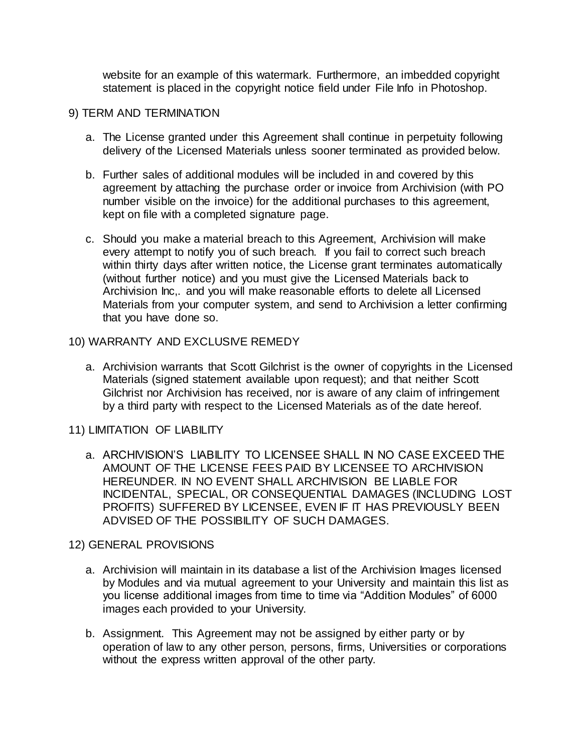website for an example of this watermark. Furthermore, an imbedded copyright statement is placed in the copyright notice field under File Info in Photoshop.

#### 9) TERM AND TERMINATION

- a. The License granted under this Agreement shall continue in perpetuity following delivery of the Licensed Materials unless sooner terminated as provided below.
- b. Further sales of additional modules will be included in and covered by this agreement by attaching the purchase order or invoice from Archivision (with PO number visible on the invoice) for the additional purchases to this agreement, kept on file with a completed signature page.
- c. Should you make a material breach to this Agreement, Archivision will make every attempt to notify you of such breach. If you fail to correct such breach within thirty days after written notice, the License grant terminates automatically (without further notice) and you must give the Licensed Materials back to Archivision Inc,. and you will make reasonable efforts to delete all Licensed Materials from your computer system, and send to Archivision a letter confirming that you have done so.

#### 10) WARRANTY AND EXCLUSIVE REMEDY

- a. Archivision warrants that Scott Gilchrist is the owner of copyrights in the Licensed Materials (signed statement available upon request); and that neither Scott Gilchrist nor Archivision has received, nor is aware of any claim of infringement by a third party with respect to the Licensed Materials as of the date hereof.
- 11) LIMITATION OF LIABILITY
	- a. ARCHIVISION'S LIABILITY TO LICENSEE SHALL IN NO CASE EXCEED THE AMOUNT OF THE LICENSE FEES PAID BY LICENSEE TO ARCHIVISION HEREUNDER. IN NO EVENT SHALL ARCHIVISION BE LIABLE FOR INCIDENTAL, SPECIAL, OR CONSEQUENTIAL DAMAGES (INCLUDING LOST PROFITS) SUFFERED BY LICENSEE, EVEN IF IT HAS PREVIOUSLY BEEN ADVISED OF THE POSSIBILITY OF SUCH DAMAGES.

### 12) GENERAL PROVISIONS

- a. Archivision will maintain in its database a list of the Archivision Images licensed by Modules and via mutual agreement to your University and maintain this list as you license additional images from time to time via "Addition Modules" of 6000 images each provided to your University.
- b. Assignment. This Agreement may not be assigned by either party or by operation of law to any other person, persons, firms, Universities or corporations without the express written approval of the other party.